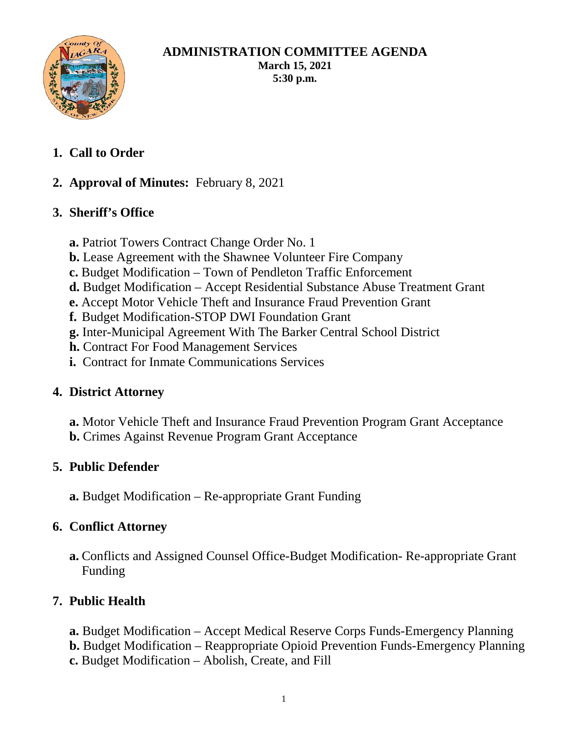

## **ADMINISTRATION COMMITTEE AGENDA March 15, 2021 5:30 p.m.**

**1. Call to Order**

# **2. Approval of Minutes:** February 8, 2021

# **3. Sheriff's Office**

- **a.** Patriot Towers Contract Change Order No. 1
- **b.** Lease Agreement with the Shawnee Volunteer Fire Company
- **c.** Budget Modification Town of Pendleton Traffic Enforcement
- **d.** Budget Modification Accept Residential Substance Abuse Treatment Grant
- **e.** Accept Motor Vehicle Theft and Insurance Fraud Prevention Grant
- **f.** Budget Modification-STOP DWI Foundation Grant
- **g.** Inter-Municipal Agreement With The Barker Central School District
- **h.** Contract For Food Management Services
- **i.** Contract for Inmate Communications Services

## **4. District Attorney**

**a.** Motor Vehicle Theft and Insurance Fraud Prevention Program Grant Acceptance **b.** Crimes Against Revenue Program Grant Acceptance

## **5. Public Defender**

**a.** Budget Modification – Re-appropriate Grant Funding

## **6. Conflict Attorney**

**a.** Conflicts and Assigned Counsel Office-Budget Modification- Re-appropriate Grant Funding

# **7. Public Health**

- **a.** Budget Modification Accept Medical Reserve Corps Funds-Emergency Planning
- **b.** Budget Modification Reappropriate Opioid Prevention Funds-Emergency Planning
- **c.** Budget Modification Abolish, Create, and Fill